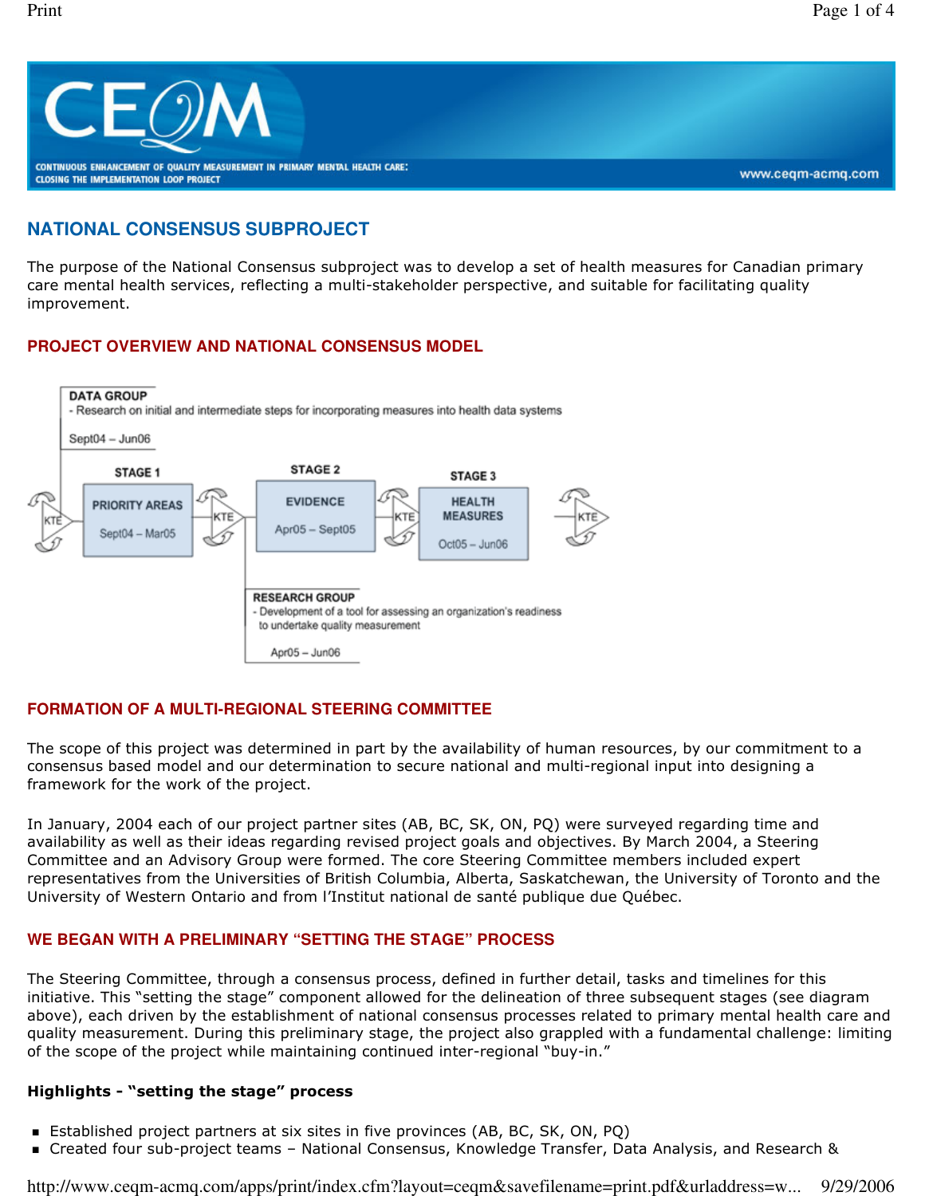

# **NATIONAL CONSENSUS SUBPROJECT**

The purpose of the National Consensus subproject was to develop a set of health measures for Canadian primary care mental health services, reflecting a multi-stakeholder perspective, and suitable for facilitating quality improvement.

## **PROJECT OVERVIEW AND NATIONAL CONSENSUS MODEL**



## **FORMATION OF A MULTI-REGIONAL STEERING COMMITTEE**

The scope of this project was determined in part by the availability of human resources, by our commitment to a consensus based model and our determination to secure national and multi-regional input into designing a framework for the work of the project.

In January, 2004 each of our project partner sites (AB, BC, SK, ON, PQ) were surveyed regarding time and availability as well as their ideas regarding revised project goals and objectives. By March 2004, a Steering Committee and an Advisory Group were formed. The core Steering Committee members included expert representatives from the Universities of British Columbia, Alberta, Saskatchewan, the University of Toronto and the University of Western Ontario and from l'Institut national de santé publique due Québec.

#### **WE BEGAN WITH A PRELIMINARY "SETTING THE STAGE" PROCESS**

The Steering Committee, through a consensus process, defined in further detail, tasks and timelines for this initiative. This "setting the stage" component allowed for the delineation of three subsequent stages (see diagram above), each driven by the establishment of national consensus processes related to primary mental health care and quality measurement. During this preliminary stage, the project also grappled with a fundamental challenge: limiting of the scope of the project while maintaining continued inter-regional "buy-in."

#### Highlights - "setting the stage" process

- Established project partners at six sites in five provinces (AB, BC, SK, ON, PQ)
- Created four sub-project teams National Consensus, Knowledge Transfer, Data Analysis, and Research &

http://www.ceqm-acmq.com/apps/print/index.cfm?layout=ceqm&savefilename=print.pdf&urladdress=w... 9/29/2006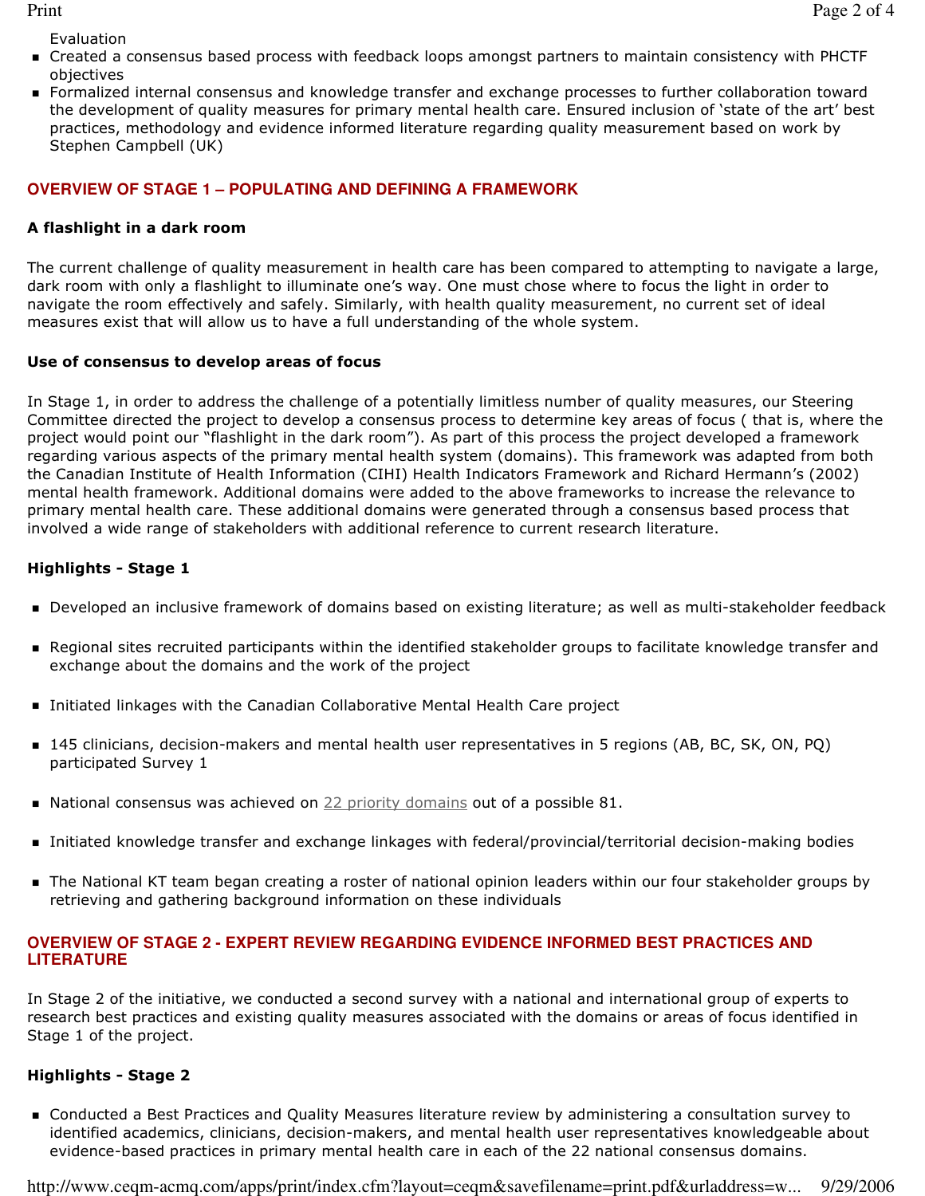Evaluation

- Created a consensus based process with feedback loops amongst partners to maintain consistency with PHCTF objectives
- Formalized internal consensus and knowledge transfer and exchange processes to further collaboration toward the development of quality measures for primary mental health care. Ensured inclusion of 'state of the art' best practices, methodology and evidence informed literature regarding quality measurement based on work by Stephen Campbell (UK)

#### **OVERVIEW OF STAGE 1 – POPULATING AND DEFINING A FRAMEWORK**

#### A flashlight in a dark room

The current challenge of quality measurement in health care has been compared to attempting to navigate a large, dark room with only a flashlight to illuminate one's way. One must chose where to focus the light in order to navigate the room effectively and safely. Similarly, with health quality measurement, no current set of ideal measures exist that will allow us to have a full understanding of the whole system.

#### Use of consensus to develop areas of focus

In Stage 1, in order to address the challenge of a potentially limitless number of quality measures, our Steering Committee directed the project to develop a consensus process to determine key areas of focus ( that is, where the project would point our "flashlight in the dark room"). As part of this process the project developed a framework regarding various aspects of the primary mental health system (domains). This framework was adapted from both the Canadian Institute of Health Information (CIHI) Health Indicators Framework and Richard Hermann's (2002) mental health framework. Additional domains were added to the above frameworks to increase the relevance to primary mental health care. These additional domains were generated through a consensus based process that involved a wide range of stakeholders with additional reference to current research literature.

#### Highlights - Stage 1

- Developed an inclusive framework of domains based on existing literature; as well as multi-stakeholder feedback
- Regional sites recruited participants within the identified stakeholder groups to facilitate knowledge transfer and exchange about the domains and the work of the project
- Initiated linkages with the Canadian Collaborative Mental Health Care project
- 145 clinicians, decision-makers and mental health user representatives in 5 regions (AB, BC, SK, ON, PQ) participated Survey 1
- National consensus was achieved on  $22$  priority domains out of a possible 81.
- Initiated knowledge transfer and exchange linkages with federal/provincial/territorial decision-making bodies
- The National KT team began creating a roster of national opinion leaders within our four stakeholder groups by retrieving and gathering background information on these individuals

## **OVERVIEW OF STAGE 2 - EXPERT REVIEW REGARDING EVIDENCE INFORMED BEST PRACTICES AND LITERATURE**

In Stage 2 of the initiative, we conducted a second survey with a national and international group of experts to research best practices and existing quality measures associated with the domains or areas of focus identified in Stage 1 of the project.

# Highlights - Stage 2

 Conducted a Best Practices and Quality Measures literature review by administering a consultation survey to identified academics, clinicians, decision-makers, and mental health user representatives knowledgeable about evidence-based practices in primary mental health care in each of the 22 national consensus domains.

http://www.ceqm-acmq.com/apps/print/index.cfm?layout=ceqm&savefilename=print.pdf&urladdress=w... 9/29/2006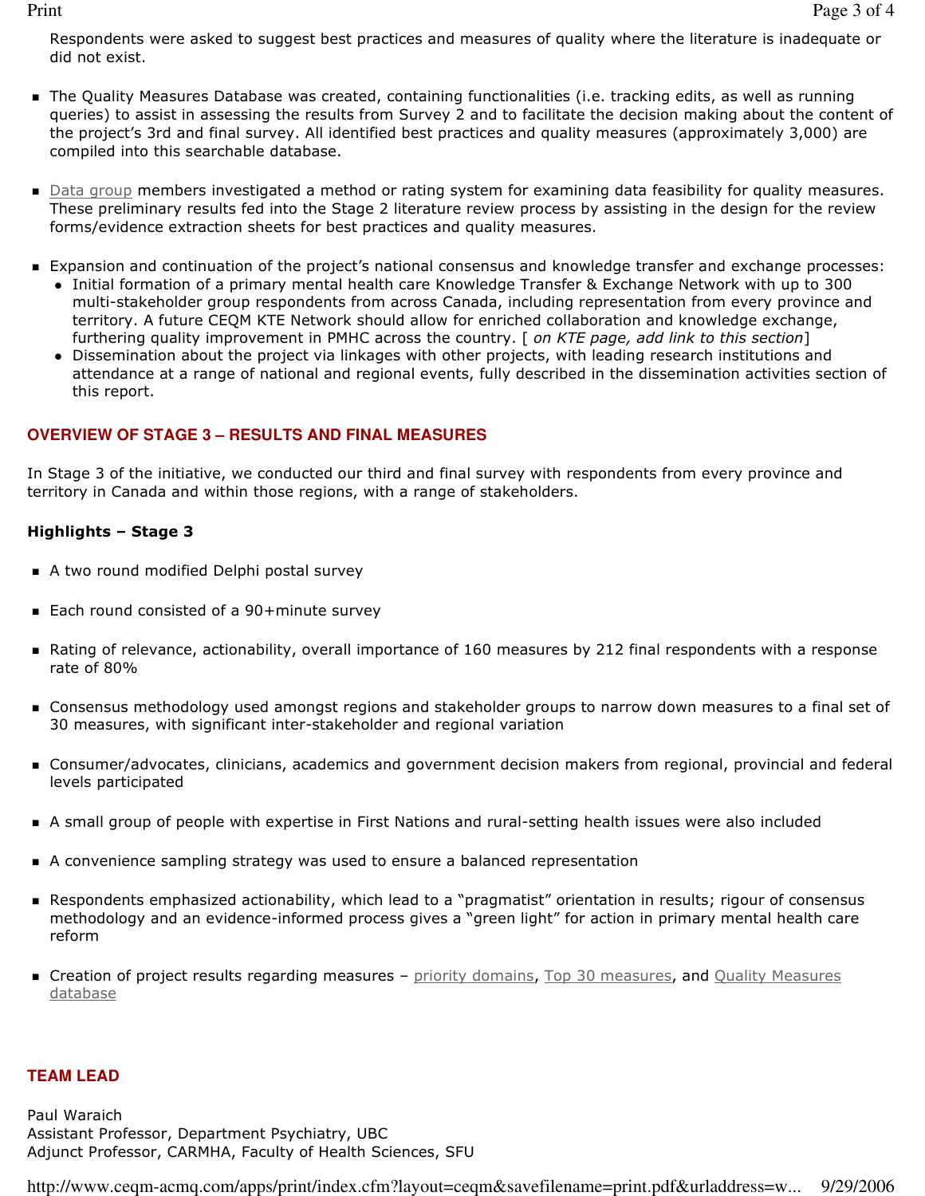Respondents were asked to suggest best practices and measures of quality where the literature is inadequate or did not exist.

- The Quality Measures Database was created, containing functionalities (i.e. tracking edits, as well as running queries) to assist in assessing the results from Survey 2 and to facilitate the decision making about the content of the project's 3rd and final survey. All identified best practices and quality measures (approximately 3,000) are compiled into this searchable database.
- Data group members investigated a method or rating system for examining data feasibility for quality measures. These preliminary results fed into the Stage 2 literature review process by assisting in the design for the review forms/evidence extraction sheets for best practices and quality measures.
- Expansion and continuation of the project's national consensus and knowledge transfer and exchange processes:
	- Initial formation of a primary mental health care Knowledge Transfer & Exchange Network with up to 300 multi-stakeholder group respondents from across Canada, including representation from every province and territory. A future CEQM KTE Network should allow for enriched collaboration and knowledge exchange, furthering quality improvement in PMHC across the country. [ on KTE page, add link to this section]
	- Dissemination about the project via linkages with other projects, with leading research institutions and attendance at a range of national and regional events, fully described in the dissemination activities section of this report.

## **OVERVIEW OF STAGE 3 – RESULTS AND FINAL MEASURES**

In Stage 3 of the initiative, we conducted our third and final survey with respondents from every province and territory in Canada and within those regions, with a range of stakeholders.

#### Highlights – Stage 3

- A two round modified Delphi postal survey
- Each round consisted of a 90+minute survey
- Rating of relevance, actionability, overall importance of 160 measures by 212 final respondents with a response rate of 80%
- Consensus methodology used amongst regions and stakeholder groups to narrow down measures to a final set of 30 measures, with significant inter-stakeholder and regional variation
- Consumer/advocates, clinicians, academics and government decision makers from regional, provincial and federal levels participated
- A small group of people with expertise in First Nations and rural-setting health issues were also included
- A convenience sampling strategy was used to ensure a balanced representation
- Respondents emphasized actionability, which lead to a "pragmatist" orientation in results; rigour of consensus methodology and an evidence-informed process gives a "green light" for action in primary mental health care reform
- **Creation of project results regarding measures –** priority domains, Top 30 measures, and Quality Measures database

#### **TEAM LEAD**

Paul Waraich Assistant Professor, Department Psychiatry, UBC Adjunct Professor, CARMHA, Faculty of Health Sciences, SFU

http://www.ceqm-acmq.com/apps/print/index.cfm?layout=ceqm&savefilename=print.pdf&urladdress=w... 9/29/2006